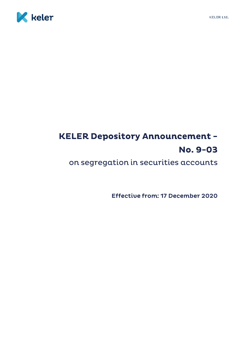



## **KELER Depository Announcement -**No. 9-03

on segregation in securities accounts

Effective from: 17 December 2020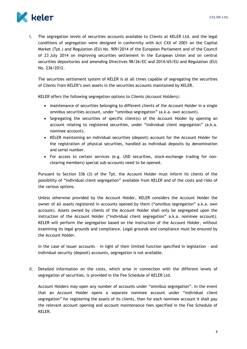

I. The segregation levels of securities accounts available to Clients at KELER Ltd. and the legal conditions of segregation were designed in conformity with Act CXX of 2001 on the Capital Market (Tpt.) and Regulation (EU) No. 909/2014 of the European Parliament and of the Council of 23 July 2014 on improving securities settlement in the European Union and on central securities depositories and amending Directives 98/26/EC and 2014/65/EU and Regulation (EU) No. 236/2012.

The securities settlement system of KELER is at all times capable of segregating the securities of Clients from KELER's own assets in the securities accounts maintained by KELER.

KELER offers the following segregation options to Clients (Account Holders):

- maintenance of securities belonging to different clients of the Account Holder in a single omnibus securities account, under "omnibus segregation" (a.k.a. own account).
- Segregating the securities of specific client(s) of the Account Holder by opening an account relating to registered securities, under "individual client segregation" (a.k.a. nominee account).
- KELER maintaining an individual securities (deposit) account for the Account Holder for the registration of physical securities, handled as individual deposits by denomination and serial number.
- For access to certain services (e.g. USD securities, stock-exchange trading for nonclearing members) special sub-accounts need to be opened.

Pursuant to Section 336 (3) of the Tpt. the Account Holder must inform its clients of the possibility of "individual client segregation" available from KELER and of the costs and risks of the various options.

Unless otherwise provided by the Account Holder, KELER considers the Account Holder the owner of all assets registered in accounts opened by them ("omnibus segregation" a.k.a. own account). Assets owned by clients of the Account Holder shall only be segregated upon the instruction of the Account Holder ("individual client segregation" a.k.a. nominee account). KELER will perform the segregation based on the instruction of the Account Holder, without examining its legal grounds and compliance. Legal grounds and compliance must be ensured by the Account Holder.

In the case of Issuer accounts – in light of their limited function specified in legislation – and Individual security (deposit) accounts, segregation is not available.

II. Detailed information on the costs, which arise in connection with the different levels of segregation of securities, is provided in the Fee Schedule of KELER Ltd.

Account Holders may open any number of accounts under "omnibus segregation". In the event that an Account Holder opens a separate nominee account under "individual client segregation" for registering the assets of its clients, then for each nominee account it shall pay the relevant account opening and account maintenance fees specified in the Fee Schedule of KELER.